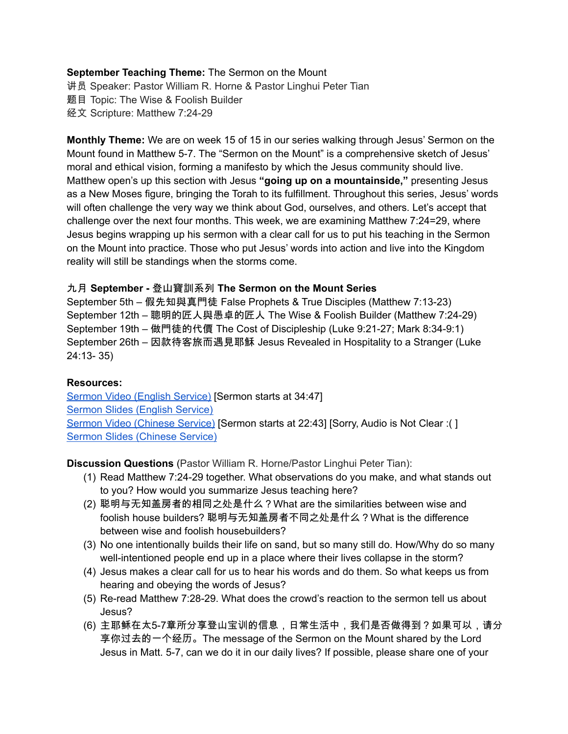#### **September Teaching Theme:** The Sermon on the Mount

讲员 Speaker: Pastor William R. Horne & Pastor Linghui Peter Tian 题目 Topic: The Wise & Foolish Builder 经文 Scripture: Matthew 7:24-29

**Monthly Theme:** We are on week 15 of 15 in our series walking through Jesus' Sermon on the Mount found in Matthew 5-7. The "Sermon on the Mount" is a comprehensive sketch of Jesus' moral and ethical vision, forming a manifesto by which the Jesus community should live. Matthew open's up this section with Jesus **"going up on a mountainside,"** presenting Jesus as a New Moses figure, bringing the Torah to its fulfillment. Throughout this series, Jesus' words will often challenge the very way we think about God, ourselves, and others. Let's accept that challenge over the next four months. This week, we are examining Matthew 7:24=29, where Jesus begins wrapping up his sermon with a clear call for us to put his teaching in the Sermon on the Mount into practice. Those who put Jesus' words into action and live into the Kingdom reality will still be standings when the storms come.

#### 九月 **September -** 登山寶訓系列 **The Sermon on the Mount Series**

September 5th – 假先知與真門徒 False Prophets & True Disciples (Matthew 7:13-23) September 12th – 聰明的匠人與愚卓的匠人 The Wise & Foolish Builder (Matthew 7:24-29) September 19th – 做門徒的代價 The Cost of Discipleship (Luke 9:21-27; Mark 8:34-9:1) September 26th – 因款待客旅而遇見耶穌 Jesus Revealed in Hospitality to a Stranger (Luke 24:13- 35)

## **Resources:**

Sermon Video (English [Service\)](https://youtu.be/a_uR415J-5I?t=2087) [Sermon starts at 34:47] Sermon Slides (English [Service\)](https://docs.google.com/presentation/d/1T50zm0yCumoJzKEDkBICyMj0B0sRrtQjt9frpc8LufA/edit?usp=sharing) Sermon Video [\(Chinese](https://youtu.be/ZK5EyQTvb6Q?t=1363) Service) [Sermon starts at 22:43] [Sorry, Audio is Not Clear :( ] Sermon Slides [\(Chinese](https://docs.google.com/presentation/d/1fwkXRqrZfxWkXdyOSpdIMYHj2Yono4Nr/edit?usp=sharing&ouid=111022305003760555164&rtpof=true&sd=true) Service)

**Discussion Questions** (Pastor William R. Horne/Pastor Linghui Peter Tian):

- (1) Read Matthew 7:24-29 together. What observations do you make, and what stands out to you? How would you summarize Jesus teaching here?
- (2) 聪明与无知盖房者的相同之处是什么?What are the similarities between wise and foolish house builders? 聪明与无知盖房者不同之处是什么?What is the difference between wise and foolish housebuilders?
- (3) No one intentionally builds their life on sand, but so many still do. How/Why do so many well-intentioned people end up in a place where their lives collapse in the storm?
- (4) Jesus makes a clear call for us to hear his words and do them. So what keeps us from hearing and obeying the words of Jesus?
- (5) Re-read Matthew 7:28-29. What does the crowd's reaction to the sermon tell us about Jesus?
- (6) 主耶稣在太5-7章所分享登山宝训的信息,日常生活中,我们是否做得到?如果可以,请分 享你过去的一个经历。The message of the Sermon on the Mount shared by the Lord Jesus in Matt. 5-7, can we do it in our daily lives? If possible, please share one of your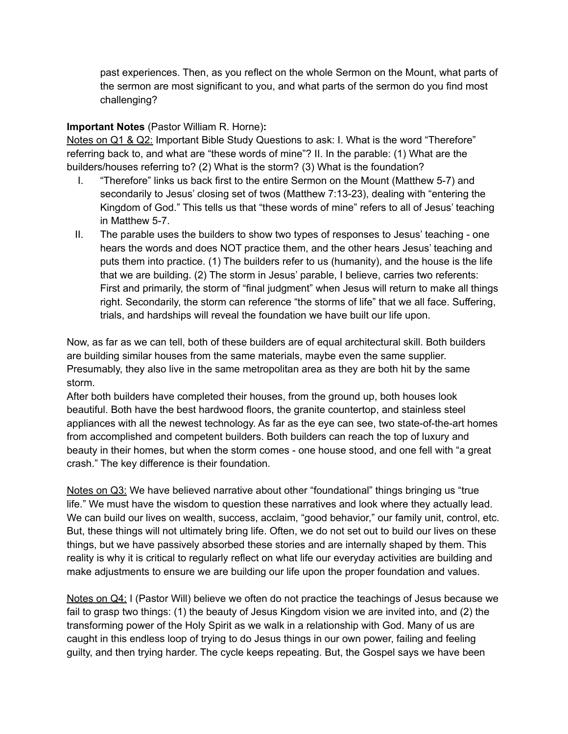past experiences. Then, as you reflect on the whole Sermon on the Mount, what parts of the sermon are most significant to you, and what parts of the sermon do you find most challenging?

## **Important Notes** (Pastor William R. Horne)**:**

Notes on Q1 & Q2: Important Bible Study Questions to ask: I. What is the word "Therefore" referring back to, and what are "these words of mine"? II. In the parable: (1) What are the builders/houses referring to? (2) What is the storm? (3) What is the foundation?

- I. "Therefore" links us back first to the entire Sermon on the Mount (Matthew 5-7) and secondarily to Jesus' closing set of twos (Matthew 7:13-23), dealing with "entering the Kingdom of God." This tells us that "these words of mine" refers to all of Jesus' teaching in Matthew 5-7.
- II. The parable uses the builders to show two types of responses to Jesus' teaching one hears the words and does NOT practice them, and the other hears Jesus' teaching and puts them into practice. (1) The builders refer to us (humanity), and the house is the life that we are building. (2) The storm in Jesus' parable, I believe, carries two referents: First and primarily, the storm of "final judgment" when Jesus will return to make all things right. Secondarily, the storm can reference "the storms of life" that we all face. Suffering, trials, and hardships will reveal the foundation we have built our life upon.

Now, as far as we can tell, both of these builders are of equal architectural skill. Both builders are building similar houses from the same materials, maybe even the same supplier. Presumably, they also live in the same metropolitan area as they are both hit by the same storm.

After both builders have completed their houses, from the ground up, both houses look beautiful. Both have the best hardwood floors, the granite countertop, and stainless steel appliances with all the newest technology. As far as the eye can see, two state-of-the-art homes from accomplished and competent builders. Both builders can reach the top of luxury and beauty in their homes, but when the storm comes - one house stood, and one fell with "a great crash." The key difference is their foundation.

Notes on Q3: We have believed narrative about other "foundational" things bringing us "true life." We must have the wisdom to question these narratives and look where they actually lead. We can build our lives on wealth, success, acclaim, "good behavior," our family unit, control, etc. But, these things will not ultimately bring life. Often, we do not set out to build our lives on these things, but we have passively absorbed these stories and are internally shaped by them. This reality is why it is critical to regularly reflect on what life our everyday activities are building and make adjustments to ensure we are building our life upon the proper foundation and values.

Notes on Q4: I (Pastor Will) believe we often do not practice the teachings of Jesus because we fail to grasp two things: (1) the beauty of Jesus Kingdom vision we are invited into, and (2) the transforming power of the Holy Spirit as we walk in a relationship with God. Many of us are caught in this endless loop of trying to do Jesus things in our own power, failing and feeling guilty, and then trying harder. The cycle keeps repeating. But, the Gospel says we have been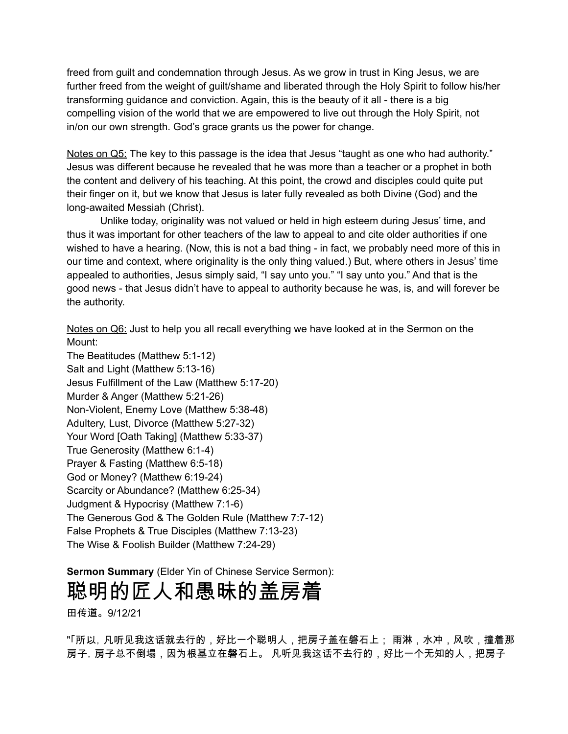freed from guilt and condemnation through Jesus. As we grow in trust in King Jesus, we are further freed from the weight of guilt/shame and liberated through the Holy Spirit to follow his/her transforming guidance and conviction. Again, this is the beauty of it all - there is a big compelling vision of the world that we are empowered to live out through the Holy Spirit, not in/on our own strength. God's grace grants us the power for change.

Notes on Q5: The key to this passage is the idea that Jesus "taught as one who had authority." Jesus was different because he revealed that he was more than a teacher or a prophet in both the content and delivery of his teaching. At this point, the crowd and disciples could quite put their finger on it, but we know that Jesus is later fully revealed as both Divine (God) and the long-awaited Messiah (Christ).

Unlike today, originality was not valued or held in high esteem during Jesus' time, and thus it was important for other teachers of the law to appeal to and cite older authorities if one wished to have a hearing. (Now, this is not a bad thing - in fact, we probably need more of this in our time and context, where originality is the only thing valued.) But, where others in Jesus' time appealed to authorities, Jesus simply said, "I say unto you." "I say unto you." And that is the good news - that Jesus didn't have to appeal to authority because he was, is, and will forever be the authority.

Notes on Q6: Just to help you all recall everything we have looked at in the Sermon on the Mount:

The Beatitudes (Matthew 5:1-12) Salt and Light (Matthew 5:13-16) Jesus Fulfillment of the Law (Matthew 5:17-20) Murder & Anger (Matthew 5:21-26) Non-Violent, Enemy Love (Matthew 5:38-48) Adultery, Lust, Divorce (Matthew 5:27-32) Your Word [Oath Taking] (Matthew 5:33-37) True Generosity (Matthew 6:1-4) Prayer & Fasting (Matthew 6:5-18) God or Money? (Matthew 6:19-24) Scarcity or Abundance? (Matthew 6:25-34) Judgment & Hypocrisy (Matthew 7:1-6) The Generous God & The Golden Rule (Matthew 7:7-12) False Prophets & True Disciples (Matthew 7:13-23) The Wise & Foolish Builder (Matthew 7:24-29)

**Sermon Summary** (Elder Yin of Chinese Service Sermon):

# 聪明的匠人和愚昧的盖房着

田传道。9/12/21

"「所以,凡听见我这话就去行的,好比一个聪明人,把房子盖在磐石上; 雨淋,水冲,风吹,撞着那 房子,房子总不倒塌,因为根基立在磐石上。 凡听见我这话不去行的,好比一个无知的人,把房子